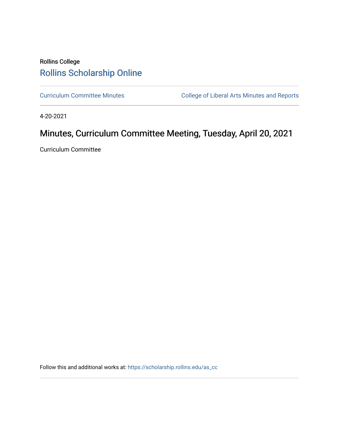## Rollins College [Rollins Scholarship Online](https://scholarship.rollins.edu/)

[Curriculum Committee Minutes](https://scholarship.rollins.edu/as_cc) **College of Liberal Arts Minutes and Reports** 

4-20-2021

# Minutes, Curriculum Committee Meeting, Tuesday, April 20, 2021

Curriculum Committee

Follow this and additional works at: [https://scholarship.rollins.edu/as\\_cc](https://scholarship.rollins.edu/as_cc?utm_source=scholarship.rollins.edu%2Fas_cc%2F99&utm_medium=PDF&utm_campaign=PDFCoverPages)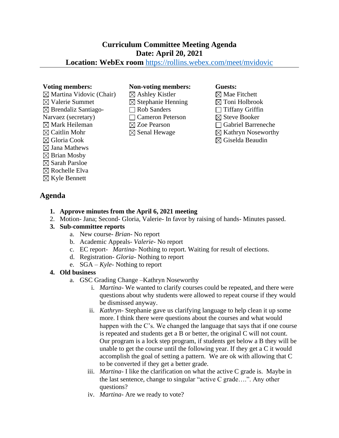## **Curriculum Committee Meeting Agenda Date: April 20, 2021**

### **Location: WebEx room** <https://rollins.webex.com/meet/mvidovic>

 $\boxtimes$  Martina Vidovic (Chair)  $\boxtimes$  Valerie Summet  $\boxtimes$  Brendaliz Santiago-Narvaez (secretary)  $\boxtimes$  Mark Heileman  $\boxtimes$  Caitlin Mohr

#### Gloria Cook

- $\boxtimes$  Jana Mathews
- $\boxtimes$  Brian Mosby
- $\boxtimes$  Sarah Parsloe
- $\boxtimes$  Rochelle Elva
- $\boxtimes$  Kyle Bennett

### **Agenda**

## **Voting members: Non-voting members: Guests:**

 $\boxtimes$  Ashley Kistler  $\boxtimes$  Stephanie Henning Rob Sanders Cameron Peterson ⊠ Zoe Pearson  $\boxtimes$  Senal Hewage

 $\boxtimes$  Mae Fitchett  $\boxtimes$  Toni Holbrook  $\Box$  Tiffany Griffin  $\boxtimes$  Steve Booker Gabriel Barreneche  $\boxtimes$  Kathryn Noseworthy  $\boxtimes$  Giselda Beaudin

- **1. Approve minutes from the April 6, 2021 meeting**
- 2. Motion- Jana; Second- Gloria, Valerie- In favor by raising of hands- Minutes passed.

#### **3. Sub-committee reports**

- a. New course- *Brian* No report
- b. Academic Appeals- *Valerie* No report
- c. EC report- *Martina-* Nothing to report. Waiting for result of elections.
- d. Registration- *Gloria* Nothing to report
- e. SGA *Kyle* Nothing to report

#### **4. Old business**

- a. GSC Grading Change –Kathryn Noseworthy
	- i. *Martina* We wanted to clarify courses could be repeated, and there were questions about why students were allowed to repeat course if they would be dismissed anyway.
	- ii. *Kathryn* Stephanie gave us clarifying language to help clean it up some more. I think there were questions about the courses and what would happen with the C's. We changed the language that says that if one course is repeated and students get a B or better, the original C will not count. Our program is a lock step program, if students get below a B they will be unable to get the course until the following year. If they get a C it would accomplish the goal of setting a pattern. We are ok with allowing that C to be converted if they get a better grade.
	- iii. *Martina* I like the clarification on what the active C grade is. Maybe in the last sentence, change to singular "active C grade….". Any other questions?
	- iv. *Martina-* Are we ready to vote?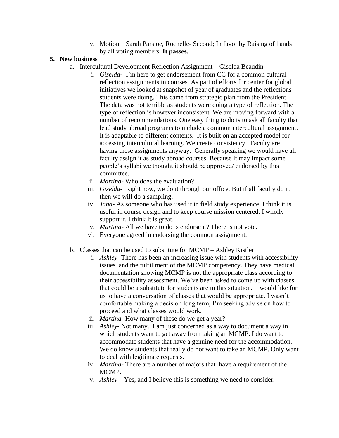v. Motion – Sarah Parsloe, Rochelle- Second; In favor by Raising of hands by all voting members. **It passes.**

#### **5. New business**

- a. Intercultural Development Reflection Assignment Giselda Beaudin
	- i. *Giselda* I'm here to get endorsement from CC for a common cultural reflection assignments in courses. As part of efforts for center for global initiatives we looked at snapshot of year of graduates and the reflections students were doing. This came from strategic plan from the President. The data was not terrible as students were doing a type of reflection. The type of reflection is however inconsistent. We are moving forward with a number of recommendations. One easy thing to do is to ask all faculty that lead study abroad programs to include a common intercultural assignment. It is adaptable to different contents. It is built on an accepted model for accessing intercultural learning. We create consistency. Faculty are having these assignments anyway. Generally speaking we would have all faculty assign it as study abroad courses. Because it may impact some people's syllabi we thought it should be approved/ endorsed by this committee.
	- ii. *Martina* Who does the evaluation?
	- iii. *Giselda* Right now, we do it through our office. But if all faculty do it, then we will do a sampling.
	- iv. *Jana* As someone who has used it in field study experience, I think it is useful in course design and to keep course mission centered. I wholly support it. I think it is great.
	- v. *Martina* All we have to do is endorse it? There is not vote.
	- vi. Everyone agreed in endorsing the common assignment.
- b. Classes that can be used to substitute for MCMP Ashley Kistler
	- i. *Ashley* There has been an increasing issue with students with accessibility issues and the fulfillment of the MCMP competency. They have medical documentation showing MCMP is not the appropriate class according to their accessibility assessment. We've been asked to come up with classes that could be a substitute for students are in this situation. I would like for us to have a conversation of classes that would be appropriate. I wasn't comfortable making a decision long term, I'm seeking advise on how to proceed and what classes would work.
	- ii. *Martina* How many of these do we get a year?
	- iii. *Ashley* Not many. I am just concerned as a way to document a way in which students want to get away from taking an MCMP. I do want to accommodate students that have a genuine need for the accommodation. We do know students that really do not want to take an MCMP. Only want to deal with legitimate requests.
	- iv. *Martina* There are a number of majors that have a requirement of the MCMP.
	- v. *Ashley* Yes, and I believe this is something we need to consider.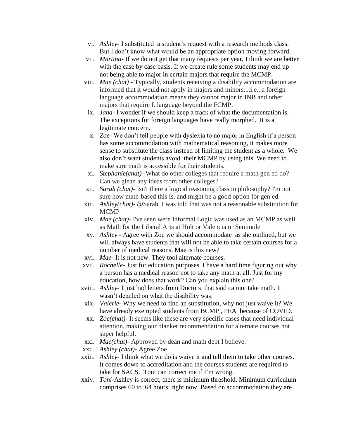- vi. *Ashley* I substituted a student's request with a research methods class. But I don't know what would be an appropriate option moving forward.
- vii. *Martina* If we do not get that many requests per year, I think we are better with the case by case basis. If we create rule some students may end up not being able to major in certain majors that require the MCMP.
- viii. *Mae (chat)*  Typically, students receiving a disability accommodation are informed that it would not apply in majors and minors....i.e., a foreign language accommodation means they cannot major in INB and other majors that require f. language beyond the FCMP.
- ix. *Jana* I wonder if we should keep a track of what the documentation is. The exceptions for foreign languages have really morphed. It is a legitimate concern.
- x. *Zoe* We don't tell people with dyslexia to no major in English if a person has some accommodation with mathematical reasoning, it makes more sense to substitute the class instead of limiting the student as a whole. We also don't want students avoid their MCMP by using this. We need to make sure math is accessible for their students.
- xi. *Stephanie(chat)-* What do other colleges that require a math gen ed do? Can we glean any ideas from other colleges?
- xii. *Sarah (chat)-* Isn't there a logical reasoning class in philosophy? I'm not sure how math-based this is, and might be a good option for gen ed.
- xiii. *Ashley(chat)-* @Sarah, I was told that was not a reasonable substitution for MCMP
- xiv. *Mae (chat)-* I've seen were Informal Logic was used as an MCMP as well as Math for the Liberal Arts at Holt or Valencia or Seminole
- xv. *Ashley* Agree with Zoe we should accommodate as she outlined, but we will always have students that will not be able to take certain courses for a number of medical reasons. Mae is this new?
- xvi. *Mae* It is not new. They tool alternate courses.
- xvii. *Rochelle* Just for education purposes. I have a hard time figuring out why a person has a medical reason not to take any math at all. Just for my education, how does that work? Can you explain this one?
- xviii. *Ashley* I just had letters from Doctors that said cannot take math. It wasn't detailed on what the disability was.
	- xix. *Valerie-* Why we need to find an substitution, why not just waive it? We have already exempted students from BCMP , PEA because of COVID.
	- xx. *Zoe(chat)* It seems like these are very specific cases that need individual attention, making our blanket recommendation for alternate courses not super helpful.
- xxi. *Mae(chat)-* Approved by dean and math dept I believe.
- xxii. *Ashley (chat)-* Agree Zoe
- xxiii. *Ashley* I think what we do is waive it and tell them to take other courses. It comes down to accreditation and the courses students are required to take for SACS. Toni can correct me if I'm wrong.
- xxiv. *Toni*-Ashley is correct, there is minimum threshold. Minimum curriculum comprises 60 to 64 hours right now. Based on accommodation they are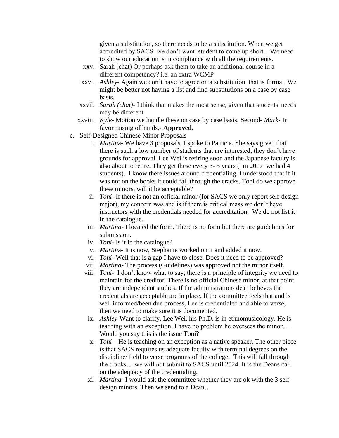given a substitution, so there needs to be a substitution. When we get accredited by SACS we don't want student to come up short. We need to show our education is in compliance with all the requirements.

- xxv. Sarah (chat) Or perhaps ask them to take an additional course in a different competency? i.e. an extra WCMP
- xxvi. *Ashley* Again we don't have to agree on a substitution that is formal. We might be better not having a list and find substitutions on a case by case basis.
- xxvii. *Sarah (chat)-* I think that makes the most sense, given that students' needs may be different
- xxviii. *Kyle-* Motion we handle these on case by case basis; Second- *Mark-* In favor raising of hands.- **Approved.**
- c. Self-Designed Chinese Minor Proposals
	- i. *Martin*a- We have 3 proposals. I spoke to Patricia. She says given that there is such a low number of students that are interested, they don't have grounds for approval. Lee Wei is retiring soon and the Japanese faculty is also about to retire. They get these every 3- 5 years ( in 2017 we had 4 students). I know there issues around credentialing. I understood that if it was not on the books it could fall through the cracks. Toni do we approve these minors, will it be acceptable?
	- ii. *Toni* If there is not an official minor (for SACS we only report self-design major), my concern was and is if there is critical mass we don't have instructors with the credentials needed for accreditation. We do not list it in the catalogue.
	- iii. *Martina-* I located the form. There is no form but there are guidelines for submission.
	- iv. *Toni* Is it in the catalogue?
	- v. *Martin*a- It is now, Stephanie worked on it and added it now.
	- vi. *Toni* Well that is a gap I have to close. Does it need to be approved?
	- vii. *Martina* The process (Guidelines) was approved not the minor itself.
	- viii. *Toni-* I don't know what to say, there is a principle of integrity we need to maintain for the creditor. There is no official Chinese minor, at that point they are independent studies. If the administration/ dean believes the credentials are acceptable are in place. If the committee feels that and is well informed/been due process, Lee is credentialed and able to verse, then we need to make sure it is documented.
		- ix. *Ashley*-Want to clarify, Lee Wei, his Ph.D. is in ethnomusicology. He is teaching with an exception. I have no problem he oversees the minor…. Would you say this is the issue Toni?
		- x. *Toni* He is teaching on an exception as a native speaker. The other piece is that SACS requires us adequate faculty with terminal degrees on the discipline/ field to verse programs of the college. This will fall through the cracks… we will not submit to SACS until 2024. It is the Deans call on the adequacy of the credentialing.
		- xi. *Martina* I would ask the committee whether they are ok with the 3 selfdesign minors. Then we send to a Dean…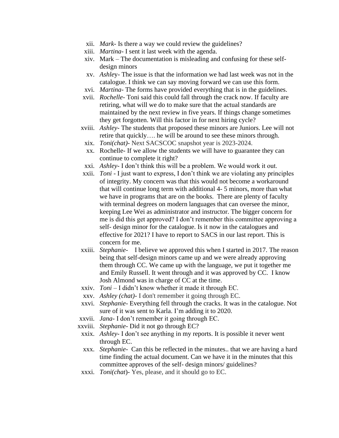- xii. *Mark* Is there a way we could review the guidelines?
- xiii. *Martina* I sent it last week with the agenda.
- xiv. Mark The documentation is misleading and confusing for these selfdesign minors
- xv. *Ashle*y- The issue is that the information we had last week was not in the catalogue. I think we can say moving forward we can use this form.
- xvi. *Martina* The forms have provided everything that is in the guidelines.
- xvii. *Rochelle* Toni said this could fall through the crack now. If faculty are retiring, what will we do to make sure that the actual standards are maintained by the next review in five years. If things change sometimes they get forgotten. Will this factor in for next hiring cycle?
- xviii. *Ashley-* The students that proposed these minors are Juniors. Lee will not retire that quickly…. he will be around to see these minors through.
	- xix. *Toni(chat)-* Next SACSCOC snapshot year is 2023-2024.
	- xx. Rochelle- If we allow the students we will have to guarantee they can continue to complete it right?
- xxi. *Ashley* I don't think this will be a problem. We would work it out.
- xxii. *Toni* I just want to express, I don't think we are violating any principles of integrity. My concern was that this would not become a workaround that will continue long term with additional 4- 5 minors, more than what we have in programs that are on the books. There are plenty of faculty with terminal degrees on modern languages that can oversee the minor, keeping Lee Wei as administrator and instructor. The bigger concern for me is did this get approved? I don't remember this committee approving a self- design minor for the catalogue. Is it now in the catalogues and effective for 2021? I have to report to SACS in our last report. This is concern for me.
- xxiii. *Stephanie-* I believe we approved this when I started in 2017. The reason being that self-design minors came up and we were already approving them through CC. We came up with the language, we put it together me and Emily Russell. It went through and it was approved by CC. I know Josh Almond was in charge of CC at the time.
- xxiv. *Toni*  I didn't know whether it made it through EC.
- xxv. *Ashley (chat)-* I don't remember it going through EC.
- xxvi. *Stephanie* Everything fell through the cracks. It was in the catalogue. Not sure of it was sent to Karla. I'm adding it to 2020.
- xxvii. *Jana* I don't remember it going through EC.
- xxviii. *Stephanie* Did it not go through EC?
- xxix. *Ashley-* I don't see anything in my reports. It is possible it never went through EC.
- xxx. *Stephanie-* Can this be reflected in the minutes.. that we are having a hard time finding the actual document. Can we have it in the minutes that this committee approves of the self- design minors/ guidelines?
- xxxi. *Toni(chat*)- Yes, please, and it should go to EC.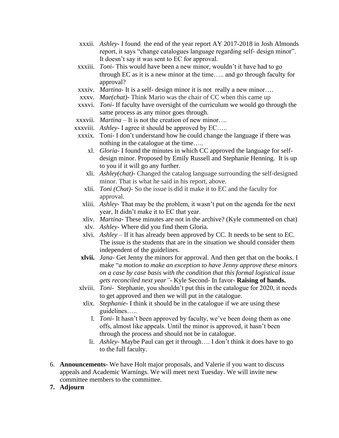- xxxii. *Ashley-* I found the end of the year report AY 2017-2018 in Josh Almonds report, it says "change catalogues language regarding self- design minor". It doesn't say it was sent to EC for approval.
- xxxiii. *Toni* This would have been a new minor, wouldn't it have had to go through EC as it is a new minor at the time….. and go through faculty for approval?
- xxxiv. *Martina* It is a self- design minor it is not really a new minor….
- xxxv. *Mae(chat)-* Think Mario was the chair of CC when this came up
- xxxvi. *Toni* If faculty have oversight of the curriculum we would go through the same process as any minor goes through.
- xxxvii. *Martina* It is not the creation of new minor….
- xxxviii. *Ashley* I agree it should be approved by EC…..
- xxxix. Toni- I don't understand how he could change the language if there was nothing in the catalogue at the time…..
	- xl. *Gloria* I found the minutes in which CC approved the language for selfdesign minor. Proposed by Emily Russell and Stephanie Henning. It is up to you if it will go any further.
	- xli. *Ashley(chat)-* Changed the catalog language surrounding the self-designed minor. That is what he said in his report, above.
	- xlii. *Toni (Chat)-* So the issue is did it make it to EC and the faculty for approval.
	- xliii. *Ashley* That may be the problem, it wasn't put on the agenda for the next year, It didn't make it to EC that year.
	- xliv. *Martina* These minutes are not in the archive? (Kyle commented on chat)
	- xlv. *Ashley-* Where did you find them Gloria.
	- xlvi. *Ashley*  If it has already been approved by CC. It needs to be sent to EC. The issue is the students that are in the situation we should consider them independent of the guidelines.
- **xlvii.** *Jana* Get Jenny the minors for approval. And then get that on the books. I make "*a motion to make an exception to have Jenny approve these minors on a case by case basis with the condition that this formal logistical issue gets reconciled next year"*- Kyle Second- In favor- **Raising of hands.**
- xlviii. *Toni-* Stephanie, you shouldn't put this in the catalogue for 2020, it needs to get approved and then we will put in the catalogue.
- xlix. *Stephanie-* I think it should be in the catalogue if we are using these guidelines…..
	- l. *Toni* It hasn't been approved by faculty, we've been doing them as one offs, almost like appeals. Until the minor is approved, it hasn't been through the process and should not be in catalogue.
	- li. *Ashley-* Maybe Paul can get it through…. I don't think it does have to go to the full faculty.
- 6. **Announcements-** We have Holt major proposals, and Valerie if you want to discuss appeals and Academic Warnings. We will meet next Tuesday. We will invite new committee members to the committee.
- **7. Adjourn**